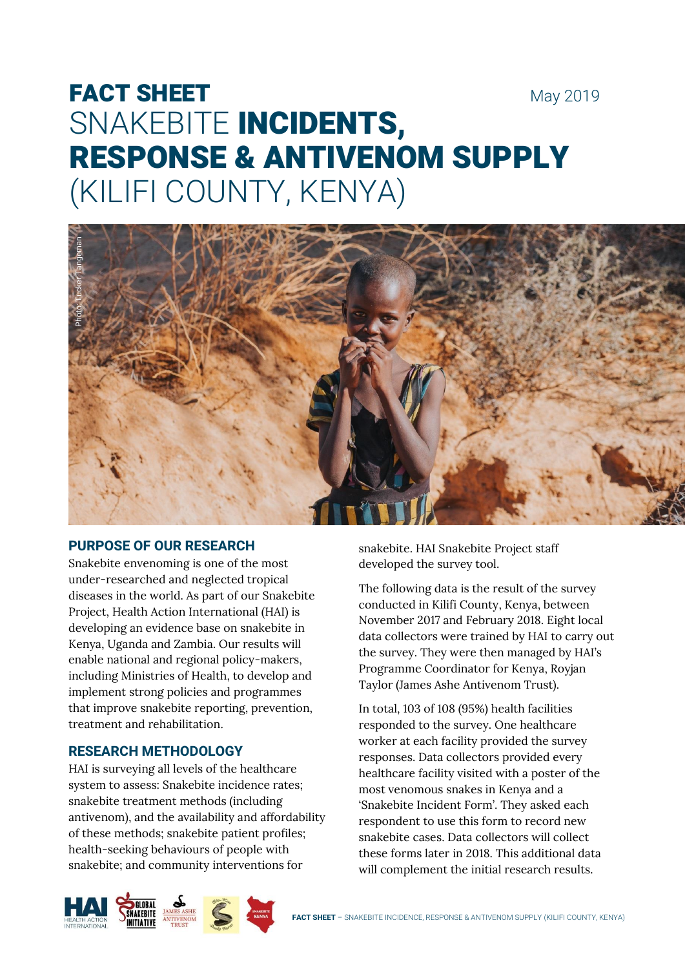# FACT SHEET May 2019 SNAKEBITE INCIDENTS, RESPONSE & ANTIVENOM SUPPLY (KILIFI COUNTY, KENYA)



# **PURPOSE OF OUR RESEARCH**

Snakebite envenoming is one of the most under-researched and neglected tropical diseases in the world. As part of our Snakebite Project, Health Action International (HAI) is developing an evidence base on snakebite in Kenya, Uganda and Zambia. Our results will enable national and regional policy-makers, including Ministries of Health, to develop and implement strong policies and programmes that improve snakebite reporting, prevention, treatment and rehabilitation.

# **RESEARCH METHODOLOGY**

HAI is surveying all levels of the healthcare system to assess: Snakebite incidence rates; snakebite treatment methods (including antivenom), and the availability and affordability of these methods; snakebite patient profiles; health-seeking behaviours of people with snakebite; and community interventions for

snakebite. HAI Snakebite Project staff developed the survey tool.

The following data is the result of the survey conducted in Kilifi County, Kenya, between November 2017 and February 2018. Eight local data collectors were trained by HAI to carry out the survey. They were then managed by HAI's Programme Coordinator for Kenya, Royjan Taylor (James Ashe Antivenom Trust).

In total, 103 of 108 (95%) health facilities responded to the survey. One healthcare worker at each facility provided the survey responses. Data collectors provided every healthcare facility visited with a poster of the most venomous snakes in Kenya and a 'Snakebite Incident Form'. They asked each respondent to use this form to record new snakebite cases. Data collectors will collect these forms later in 2018. This additional data will complement the initial research results.